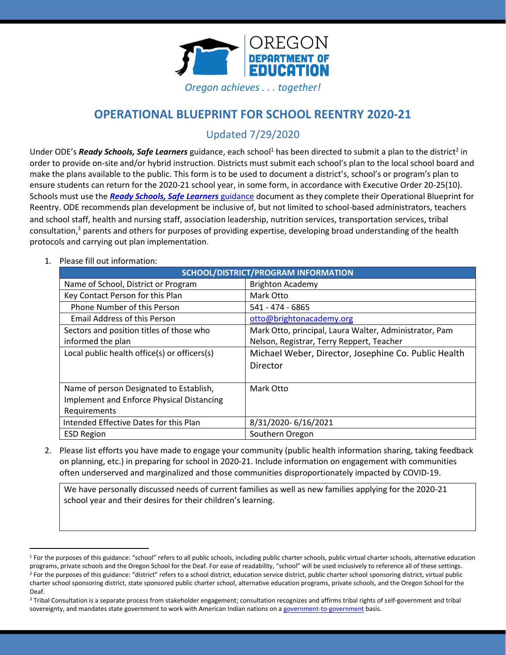

# **OPERATIONAL BLUEPRINT FOR SCHOOL REENTRY 2020-21**

Updated 7/29/2020

Under ODE's *Ready Schools, Safe Learners* guidance, each school<sup>1</sup> has been directed to submit a plan to the district<sup>2</sup> in order to provide on-site and/or hybrid instruction. Districts must submit each school's plan to the local school board and make the plans available to the public. This form is to be used to document a district's, school's or program's plan to ensure students can return for the 2020-21 school year, in some form, in accordance with Executive Order 20-25(10). Schools must use the *[Ready Schools, Safe Learners](https://www.oregon.gov/ode/students-and-family/healthsafety/Documents/Ready%20Schools%20Safe%20Learners%202020-21%20Guidance.pdf)* guidance document as they complete their Operational Blueprint for Reentry. ODE recommends plan development be inclusive of, but not limited to school-based administrators, teachers and school staff, health and nursing staff, association leadership, nutrition services, transportation services, tribal consultation, <sup>3</sup> parents and others for purposes of providing expertise, developing broad understanding of the health protocols and carrying out plan implementation.

1. Please fill out information:

| SCHOOL/DISTRICT/PROGRAM INFORMATION          |                                                        |  |
|----------------------------------------------|--------------------------------------------------------|--|
| Name of School, District or Program          | <b>Brighton Academy</b>                                |  |
| Key Contact Person for this Plan             | Mark Otto                                              |  |
| Phone Number of this Person                  | 541 - 474 - 6865                                       |  |
| <b>Email Address of this Person</b>          | otto@brightonacademy.org                               |  |
| Sectors and position titles of those who     | Mark Otto, principal, Laura Walter, Administrator, Pam |  |
| informed the plan                            | Nelson, Registrar, Terry Reppert, Teacher              |  |
| Local public health office(s) or officers(s) | Michael Weber, Director, Josephine Co. Public Health   |  |
|                                              | Director                                               |  |
|                                              |                                                        |  |
| Name of person Designated to Establish,      | Mark Otto                                              |  |
| Implement and Enforce Physical Distancing    |                                                        |  |
| Requirements                                 |                                                        |  |
| Intended Effective Dates for this Plan       | 8/31/2020-6/16/2021                                    |  |
| <b>ESD Region</b>                            | Southern Oregon                                        |  |

2. Please list efforts you have made to engage your community (public health information sharing, taking feedback on planning, etc.) in preparing for school in 2020-21. Include information on engagement with communities often underserved and marginalized and those communities disproportionately impacted by COVID-19.

We have personally discussed needs of current families as well as new families applying for the 2020-21 school year and their desires for their children's learning.

<sup>&</sup>lt;sup>1</sup> For the purposes of this guidance: "school" refers to all public schools, including public charter schools, public virtual charter schools, alternative education programs, private schools and the Oregon School for the Deaf. For ease of readability, "school" will be used inclusively to reference all of these settings. <sup>2</sup> For the purposes of this guidance: "district" refers to a school district, education service district, public charter school sponsoring district, virtual public charter school sponsoring district, state sponsored public charter school, alternative education programs, private schools, and the Oregon School for the Deaf.

<sup>&</sup>lt;sup>3</sup> Tribal Consultation is a separate process from stakeholder engagement; consultation recognizes and affirms tribal rights of self-government and tribal sovereignty, and mandates state government to work with American Indian nations on [a government-to-government](http://www.nrc4tribes.org/files/Tab%209_9H%20Oregon%20SB770.pdf) basis.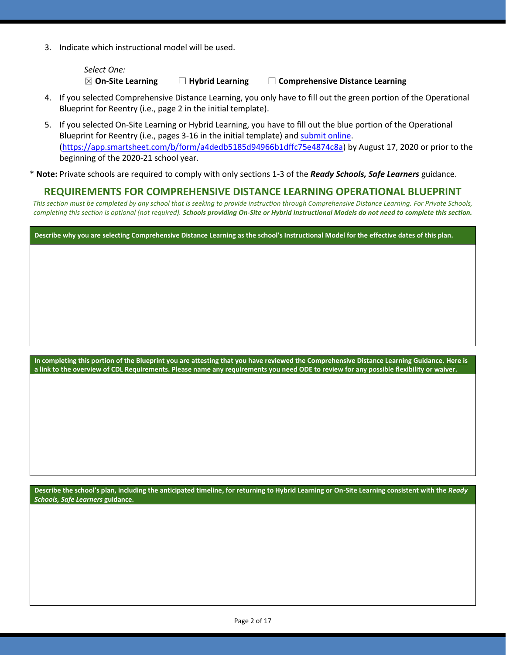3. Indicate which instructional model will be used.

*Select One:* ☒ **On-Site Learning** ☐ **Hybrid Learning** ☐ **Comprehensive Distance Learning**

- 4. If you selected Comprehensive Distance Learning, you only have to fill out the green portion of the Operational Blueprint for Reentry (i.e., page 2 in the initial template).
- 5. If you selected On-Site Learning or Hybrid Learning, you have to fill out the blue portion of the Operational Blueprint for Reentry (i.e., pages 3-16 in the initial template) an[d submit](https://app.smartsheet.com/b/form/a4dedb5185d94966b1dffc75e4874c8a) online. [\(https://app.smartsheet.com/b/form/a4dedb5185d94966b1dffc75e4874c8a\)](https://app.smartsheet.com/b/form/a4dedb5185d94966b1dffc75e4874c8a) by August 17, 2020 or prior to the beginning of the 2020-21 school year.
- \* **Note:** Private schools are required to comply with only sections 1-3 of the *Ready Schools, Safe Learners* guidance.

### **REQUIREMENTS FOR COMPREHENSIVE DISTANCE LEARNING OPERATIONAL BLUEPRINT**

*This section must be completed by any school that is seeking to provide instruction through Comprehensive Distance Learning. For Private Schools, completing this section is optional (not required). Schools providing On-Site or Hybrid Instructional Models do not need to complete this section.*

**Describe why you are selecting Comprehensive Distance Learning as the school's Instructional Model for the effective dates of this plan.**

**In completing this portion of the Blueprint you are attesting that you have reviewed the Comprehensive Distance Learning Guidance. [Here is](https://www.oregon.gov/ode/students-and-family/healthsafety/Documents/Comprehensive%20Distance%20Learning%20Requirements%20Review.pdf)  [a link to the overview of CDL Requirements.](https://www.oregon.gov/ode/students-and-family/healthsafety/Documents/Comprehensive%20Distance%20Learning%20Requirements%20Review.pdf) Please name any requirements you need ODE to review for any possible flexibility or waiver.** 

**Describe the school's plan, including the anticipated timeline, for returning to Hybrid Learning or On-Site Learning consistent with the** *Ready Schools, Safe Learners* **guidance.**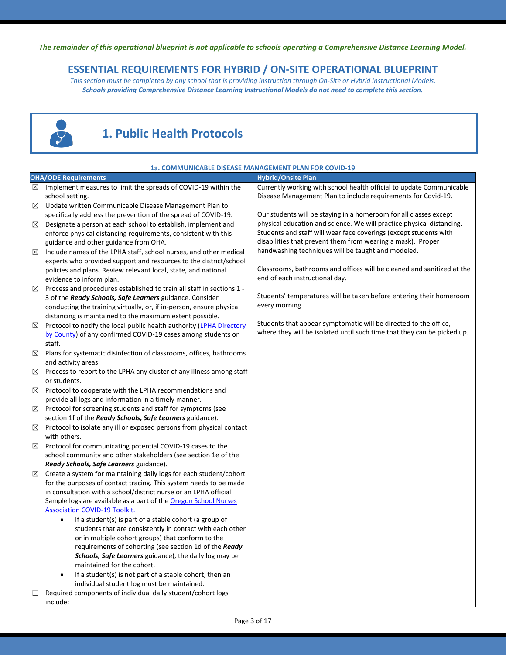*The remainder of this operational blueprint is not applicable to schools operating a Comprehensive Distance Learning Model.*

## **ESSENTIAL REQUIREMENTS FOR HYBRID / ON-SITE OPERATIONAL BLUEPRINT**

*This section must be completed by any school that is providing instruction through On-Site or Hybrid Instructional Models. Schools providing Comprehensive Distance Learning Instructional Models do not need to complete this section.*



# **1. Public Health Protocols**

|             | 1a. COMMUNICABLE DISEASE MANAGEMENT PLAN FOR COVID-19                                                                                                                                                                                                                                                                                                                                                                                                                                                                                                                                                                                                                                                                                                                                 |                                                                         |  |
|-------------|---------------------------------------------------------------------------------------------------------------------------------------------------------------------------------------------------------------------------------------------------------------------------------------------------------------------------------------------------------------------------------------------------------------------------------------------------------------------------------------------------------------------------------------------------------------------------------------------------------------------------------------------------------------------------------------------------------------------------------------------------------------------------------------|-------------------------------------------------------------------------|--|
|             | <b>OHA/ODE Requirements</b>                                                                                                                                                                                                                                                                                                                                                                                                                                                                                                                                                                                                                                                                                                                                                           | <b>Hybrid/Onsite Plan</b>                                               |  |
| $\boxtimes$ | Implement measures to limit the spreads of COVID-19 within the                                                                                                                                                                                                                                                                                                                                                                                                                                                                                                                                                                                                                                                                                                                        | Currently working with school health official to update Communicable    |  |
|             | school setting.                                                                                                                                                                                                                                                                                                                                                                                                                                                                                                                                                                                                                                                                                                                                                                       | Disease Management Plan to include requirements for Covid-19.           |  |
| $\boxtimes$ | Update written Communicable Disease Management Plan to                                                                                                                                                                                                                                                                                                                                                                                                                                                                                                                                                                                                                                                                                                                                |                                                                         |  |
|             | specifically address the prevention of the spread of COVID-19.                                                                                                                                                                                                                                                                                                                                                                                                                                                                                                                                                                                                                                                                                                                        | Our students will be staying in a homeroom for all classes except       |  |
| ⊠           | Designate a person at each school to establish, implement and                                                                                                                                                                                                                                                                                                                                                                                                                                                                                                                                                                                                                                                                                                                         | physical education and science. We will practice physical distancing.   |  |
|             | enforce physical distancing requirements, consistent with this                                                                                                                                                                                                                                                                                                                                                                                                                                                                                                                                                                                                                                                                                                                        | Students and staff will wear face coverings (except students with       |  |
|             | guidance and other guidance from OHA.                                                                                                                                                                                                                                                                                                                                                                                                                                                                                                                                                                                                                                                                                                                                                 | disabilities that prevent them from wearing a mask). Proper             |  |
| $\boxtimes$ | Include names of the LPHA staff, school nurses, and other medical                                                                                                                                                                                                                                                                                                                                                                                                                                                                                                                                                                                                                                                                                                                     | handwashing techniques will be taught and modeled.                      |  |
|             | experts who provided support and resources to the district/school                                                                                                                                                                                                                                                                                                                                                                                                                                                                                                                                                                                                                                                                                                                     |                                                                         |  |
|             | policies and plans. Review relevant local, state, and national                                                                                                                                                                                                                                                                                                                                                                                                                                                                                                                                                                                                                                                                                                                        | Classrooms, bathrooms and offices will be cleaned and sanitized at the  |  |
|             | evidence to inform plan.                                                                                                                                                                                                                                                                                                                                                                                                                                                                                                                                                                                                                                                                                                                                                              | end of each instructional day.                                          |  |
| ⊠           | Process and procedures established to train all staff in sections 1 -                                                                                                                                                                                                                                                                                                                                                                                                                                                                                                                                                                                                                                                                                                                 |                                                                         |  |
|             | 3 of the Ready Schools, Safe Learners guidance. Consider                                                                                                                                                                                                                                                                                                                                                                                                                                                                                                                                                                                                                                                                                                                              | Students' temperatures will be taken before entering their homeroom     |  |
|             | conducting the training virtually, or, if in-person, ensure physical                                                                                                                                                                                                                                                                                                                                                                                                                                                                                                                                                                                                                                                                                                                  | every morning.                                                          |  |
|             | distancing is maintained to the maximum extent possible.                                                                                                                                                                                                                                                                                                                                                                                                                                                                                                                                                                                                                                                                                                                              |                                                                         |  |
| $\boxtimes$ | Protocol to notify the local public health authority (LPHA Directory                                                                                                                                                                                                                                                                                                                                                                                                                                                                                                                                                                                                                                                                                                                  | Students that appear symptomatic will be directed to the office,        |  |
|             | by County) of any confirmed COVID-19 cases among students or                                                                                                                                                                                                                                                                                                                                                                                                                                                                                                                                                                                                                                                                                                                          | where they will be isolated until such time that they can be picked up. |  |
|             | staff.                                                                                                                                                                                                                                                                                                                                                                                                                                                                                                                                                                                                                                                                                                                                                                                |                                                                         |  |
| ⊠           | Plans for systematic disinfection of classrooms, offices, bathrooms                                                                                                                                                                                                                                                                                                                                                                                                                                                                                                                                                                                                                                                                                                                   |                                                                         |  |
|             | and activity areas.                                                                                                                                                                                                                                                                                                                                                                                                                                                                                                                                                                                                                                                                                                                                                                   |                                                                         |  |
| ⊠           | Process to report to the LPHA any cluster of any illness among staff                                                                                                                                                                                                                                                                                                                                                                                                                                                                                                                                                                                                                                                                                                                  |                                                                         |  |
|             | or students.                                                                                                                                                                                                                                                                                                                                                                                                                                                                                                                                                                                                                                                                                                                                                                          |                                                                         |  |
| $\boxtimes$ | Protocol to cooperate with the LPHA recommendations and                                                                                                                                                                                                                                                                                                                                                                                                                                                                                                                                                                                                                                                                                                                               |                                                                         |  |
|             | provide all logs and information in a timely manner.                                                                                                                                                                                                                                                                                                                                                                                                                                                                                                                                                                                                                                                                                                                                  |                                                                         |  |
| ⊠           | Protocol for screening students and staff for symptoms (see                                                                                                                                                                                                                                                                                                                                                                                                                                                                                                                                                                                                                                                                                                                           |                                                                         |  |
|             | section 1f of the Ready Schools, Safe Learners guidance).                                                                                                                                                                                                                                                                                                                                                                                                                                                                                                                                                                                                                                                                                                                             |                                                                         |  |
| ⊠           | Protocol to isolate any ill or exposed persons from physical contact                                                                                                                                                                                                                                                                                                                                                                                                                                                                                                                                                                                                                                                                                                                  |                                                                         |  |
|             | with others.                                                                                                                                                                                                                                                                                                                                                                                                                                                                                                                                                                                                                                                                                                                                                                          |                                                                         |  |
| ⊠           | Protocol for communicating potential COVID-19 cases to the                                                                                                                                                                                                                                                                                                                                                                                                                                                                                                                                                                                                                                                                                                                            |                                                                         |  |
|             | school community and other stakeholders (see section 1e of the                                                                                                                                                                                                                                                                                                                                                                                                                                                                                                                                                                                                                                                                                                                        |                                                                         |  |
|             | Ready Schools, Safe Learners guidance).                                                                                                                                                                                                                                                                                                                                                                                                                                                                                                                                                                                                                                                                                                                                               |                                                                         |  |
| $\boxtimes$ | Create a system for maintaining daily logs for each student/cohort                                                                                                                                                                                                                                                                                                                                                                                                                                                                                                                                                                                                                                                                                                                    |                                                                         |  |
|             |                                                                                                                                                                                                                                                                                                                                                                                                                                                                                                                                                                                                                                                                                                                                                                                       |                                                                         |  |
|             |                                                                                                                                                                                                                                                                                                                                                                                                                                                                                                                                                                                                                                                                                                                                                                                       |                                                                         |  |
|             |                                                                                                                                                                                                                                                                                                                                                                                                                                                                                                                                                                                                                                                                                                                                                                                       |                                                                         |  |
|             |                                                                                                                                                                                                                                                                                                                                                                                                                                                                                                                                                                                                                                                                                                                                                                                       |                                                                         |  |
|             |                                                                                                                                                                                                                                                                                                                                                                                                                                                                                                                                                                                                                                                                                                                                                                                       |                                                                         |  |
|             |                                                                                                                                                                                                                                                                                                                                                                                                                                                                                                                                                                                                                                                                                                                                                                                       |                                                                         |  |
|             |                                                                                                                                                                                                                                                                                                                                                                                                                                                                                                                                                                                                                                                                                                                                                                                       |                                                                         |  |
|             |                                                                                                                                                                                                                                                                                                                                                                                                                                                                                                                                                                                                                                                                                                                                                                                       |                                                                         |  |
|             |                                                                                                                                                                                                                                                                                                                                                                                                                                                                                                                                                                                                                                                                                                                                                                                       |                                                                         |  |
|             |                                                                                                                                                                                                                                                                                                                                                                                                                                                                                                                                                                                                                                                                                                                                                                                       |                                                                         |  |
|             |                                                                                                                                                                                                                                                                                                                                                                                                                                                                                                                                                                                                                                                                                                                                                                                       |                                                                         |  |
|             |                                                                                                                                                                                                                                                                                                                                                                                                                                                                                                                                                                                                                                                                                                                                                                                       |                                                                         |  |
|             |                                                                                                                                                                                                                                                                                                                                                                                                                                                                                                                                                                                                                                                                                                                                                                                       |                                                                         |  |
| ⊔           | for the purposes of contact tracing. This system needs to be made<br>in consultation with a school/district nurse or an LPHA official.<br>Sample logs are available as a part of the Oregon School Nurses<br><b>Association COVID-19 Toolkit.</b><br>If a student(s) is part of a stable cohort (a group of<br>٠<br>students that are consistently in contact with each other<br>or in multiple cohort groups) that conform to the<br>requirements of cohorting (see section 1d of the Ready<br>Schools, Safe Learners guidance), the daily log may be<br>maintained for the cohort.<br>If a student(s) is not part of a stable cohort, then an<br>$\bullet$<br>individual student log must be maintained.<br>Required components of individual daily student/cohort logs<br>include: |                                                                         |  |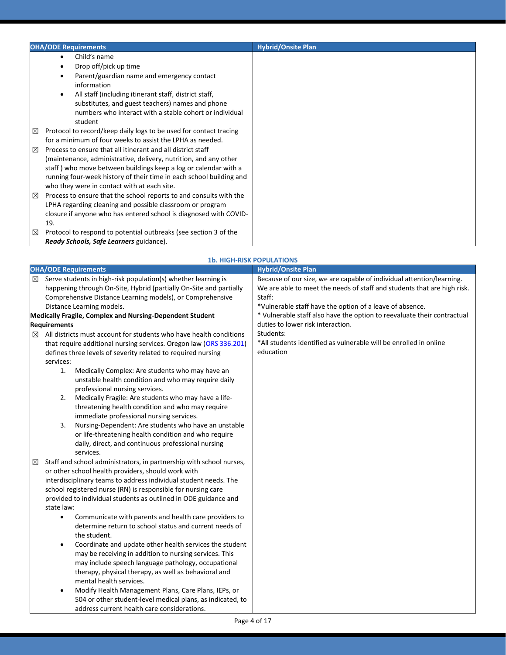| <b>OHA/ODE Requirements</b>                                             | <b>Hybrid/Onsite Plan</b> |
|-------------------------------------------------------------------------|---------------------------|
| Child's name                                                            |                           |
| Drop off/pick up time                                                   |                           |
| Parent/guardian name and emergency contact                              |                           |
| information                                                             |                           |
| All staff (including itinerant staff, district staff,                   |                           |
| substitutes, and guest teachers) names and phone                        |                           |
| numbers who interact with a stable cohort or individual                 |                           |
| student                                                                 |                           |
| Protocol to record/keep daily logs to be used for contact tracing<br>⊠  |                           |
| for a minimum of four weeks to assist the LPHA as needed.               |                           |
| Process to ensure that all itinerant and all district staff<br>⊠        |                           |
| (maintenance, administrative, delivery, nutrition, and any other        |                           |
| staff) who move between buildings keep a log or calendar with a         |                           |
| running four-week history of their time in each school building and     |                           |
| who they were in contact with at each site.                             |                           |
| Process to ensure that the school reports to and consults with the<br>⊠ |                           |
| LPHA regarding cleaning and possible classroom or program               |                           |
| closure if anyone who has entered school is diagnosed with COVID-       |                           |
| 19.                                                                     |                           |
| Protocol to respond to potential outbreaks (see section 3 of the<br>⊠   |                           |
| Ready Schools, Safe Learners guidance).                                 |                           |

|        |                                                                                                                                                                                                                                                                                                                                                                                                                                                                     | <b>1b. HIGH-RISK POPULATIONS</b>                                                                                                                                                                                                                                                                                                                                                                                         |
|--------|---------------------------------------------------------------------------------------------------------------------------------------------------------------------------------------------------------------------------------------------------------------------------------------------------------------------------------------------------------------------------------------------------------------------------------------------------------------------|--------------------------------------------------------------------------------------------------------------------------------------------------------------------------------------------------------------------------------------------------------------------------------------------------------------------------------------------------------------------------------------------------------------------------|
|        | <b>OHA/ODE Requirements</b>                                                                                                                                                                                                                                                                                                                                                                                                                                         | <b>Hybrid/Onsite Plan</b>                                                                                                                                                                                                                                                                                                                                                                                                |
| ⊠<br>⊠ | Serve students in high-risk population(s) whether learning is<br>happening through On-Site, Hybrid (partially On-Site and partially<br>Comprehensive Distance Learning models), or Comprehensive<br>Distance Learning models.<br><b>Medically Fragile, Complex and Nursing-Dependent Student</b><br><b>Requirements</b><br>All districts must account for students who have health conditions<br>that require additional nursing services. Oregon law (ORS 336.201) | Because of our size, we are capable of individual attention/learning.<br>We are able to meet the needs of staff and students that are high risk.<br>Staff:<br>*Vulnerable staff have the option of a leave of absence.<br>* Vulnerable staff also have the option to reevaluate their contractual<br>duties to lower risk interaction.<br>Students:<br>*All students identified as vulnerable will be enrolled in online |
|        | defines three levels of severity related to required nursing                                                                                                                                                                                                                                                                                                                                                                                                        | education                                                                                                                                                                                                                                                                                                                                                                                                                |
|        | services:<br>Medically Complex: Are students who may have an<br>1.<br>unstable health condition and who may require daily<br>professional nursing services.                                                                                                                                                                                                                                                                                                         |                                                                                                                                                                                                                                                                                                                                                                                                                          |
|        | Medically Fragile: Are students who may have a life-<br>2.<br>threatening health condition and who may require<br>immediate professional nursing services.<br>3.<br>Nursing-Dependent: Are students who have an unstable                                                                                                                                                                                                                                            |                                                                                                                                                                                                                                                                                                                                                                                                                          |
|        | or life-threatening health condition and who require<br>daily, direct, and continuous professional nursing<br>services.                                                                                                                                                                                                                                                                                                                                             |                                                                                                                                                                                                                                                                                                                                                                                                                          |
| ⊠      | Staff and school administrators, in partnership with school nurses,                                                                                                                                                                                                                                                                                                                                                                                                 |                                                                                                                                                                                                                                                                                                                                                                                                                          |
|        | or other school health providers, should work with                                                                                                                                                                                                                                                                                                                                                                                                                  |                                                                                                                                                                                                                                                                                                                                                                                                                          |
|        | interdisciplinary teams to address individual student needs. The<br>school registered nurse (RN) is responsible for nursing care                                                                                                                                                                                                                                                                                                                                    |                                                                                                                                                                                                                                                                                                                                                                                                                          |
|        | provided to individual students as outlined in ODE guidance and<br>state law:                                                                                                                                                                                                                                                                                                                                                                                       |                                                                                                                                                                                                                                                                                                                                                                                                                          |
|        | Communicate with parents and health care providers to<br>$\bullet$<br>determine return to school status and current needs of<br>the student.                                                                                                                                                                                                                                                                                                                        |                                                                                                                                                                                                                                                                                                                                                                                                                          |
|        | Coordinate and update other health services the student<br>$\bullet$<br>may be receiving in addition to nursing services. This<br>may include speech language pathology, occupational<br>therapy, physical therapy, as well as behavioral and                                                                                                                                                                                                                       |                                                                                                                                                                                                                                                                                                                                                                                                                          |
|        | mental health services.                                                                                                                                                                                                                                                                                                                                                                                                                                             |                                                                                                                                                                                                                                                                                                                                                                                                                          |
|        | Modify Health Management Plans, Care Plans, IEPs, or<br>$\bullet$                                                                                                                                                                                                                                                                                                                                                                                                   |                                                                                                                                                                                                                                                                                                                                                                                                                          |
|        | 504 or other student-level medical plans, as indicated, to<br>address current health care considerations.                                                                                                                                                                                                                                                                                                                                                           |                                                                                                                                                                                                                                                                                                                                                                                                                          |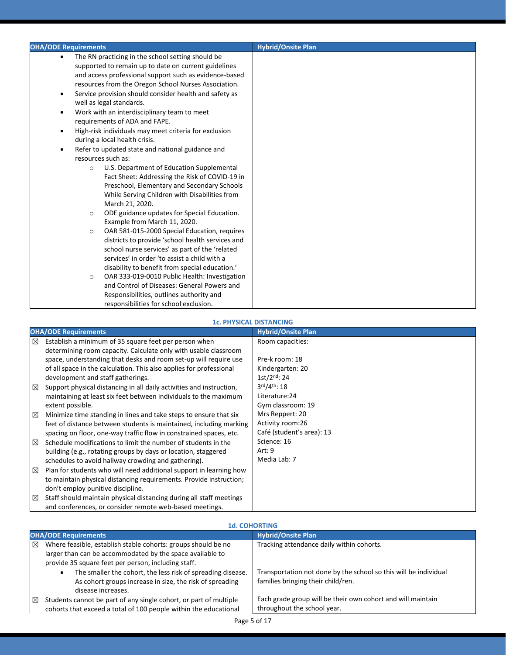| <b>OHA/ODE Requirements</b>                                         | <b>Hybrid/Onsite Plan</b> |
|---------------------------------------------------------------------|---------------------------|
| The RN practicing in the school setting should be<br>$\bullet$      |                           |
| supported to remain up to date on current guidelines                |                           |
| and access professional support such as evidence-based              |                           |
| resources from the Oregon School Nurses Association.                |                           |
| Service provision should consider health and safety as<br>$\bullet$ |                           |
| well as legal standards.                                            |                           |
| Work with an interdisciplinary team to meet<br>$\bullet$            |                           |
| requirements of ADA and FAPE.                                       |                           |
| High-risk individuals may meet criteria for exclusion<br>$\bullet$  |                           |
| during a local health crisis.                                       |                           |
| Refer to updated state and national guidance and<br>$\bullet$       |                           |
| resources such as:                                                  |                           |
| U.S. Department of Education Supplemental<br>$\circ$                |                           |
| Fact Sheet: Addressing the Risk of COVID-19 in                      |                           |
| Preschool, Elementary and Secondary Schools                         |                           |
| While Serving Children with Disabilities from                       |                           |
| March 21, 2020.                                                     |                           |
| ODE guidance updates for Special Education.<br>$\circ$              |                           |
| Example from March 11, 2020.                                        |                           |
| OAR 581-015-2000 Special Education, requires<br>$\circ$             |                           |
| districts to provide 'school health services and                    |                           |
| school nurse services' as part of the 'related                      |                           |
| services' in order 'to assist a child with a                        |                           |
| disability to benefit from special education.'                      |                           |
| OAR 333-019-0010 Public Health: Investigation<br>$\circ$            |                           |
| and Control of Diseases: General Powers and                         |                           |
| Responsibilities, outlines authority and                            |                           |
| responsibilities for school exclusion.                              |                           |

#### **1c. PHYSICAL DISTANCING**

|             | <b>OHA/ODE Requirements</b>                                          | <b>Hybrid/Onsite Plan</b> |
|-------------|----------------------------------------------------------------------|---------------------------|
| $\boxtimes$ | Establish a minimum of 35 square feet per person when                | Room capacities:          |
|             | determining room capacity. Calculate only with usable classroom      |                           |
|             | space, understanding that desks and room set-up will require use     | Pre-k room: 18            |
|             | of all space in the calculation. This also applies for professional  | Kindergarten: 20          |
|             | development and staff gatherings.                                    | $1st/2^{nd}$ : 24         |
| $\boxtimes$ | Support physical distancing in all daily activities and instruction, | $3rd/4th$ : 18            |
|             | maintaining at least six feet between individuals to the maximum     | Literature: 24            |
|             | extent possible.                                                     | Gym classroom: 19         |
| 区           | Minimize time standing in lines and take steps to ensure that six    | Mrs Reppert: 20           |
|             | feet of distance between students is maintained, including marking   | Activity room:26          |
|             | spacing on floor, one-way traffic flow in constrained spaces, etc.   | Café (student's area): 13 |
| $\boxtimes$ | Schedule modifications to limit the number of students in the        | Science: 16               |
|             | building (e.g., rotating groups by days or location, staggered       | Art: 9                    |
|             | schedules to avoid hallway crowding and gathering).                  | Media Lab: 7              |
| $\boxtimes$ | Plan for students who will need additional support in learning how   |                           |
|             | to maintain physical distancing requirements. Provide instruction;   |                           |
|             | don't employ punitive discipline.                                    |                           |
| $\boxtimes$ | Staff should maintain physical distancing during all staff meetings  |                           |
|             | and conferences, or consider remote web-based meetings.              |                           |

|   | <b>1d. COHORTING</b>                                                                                                                                                              |                                                                                                        |  |
|---|-----------------------------------------------------------------------------------------------------------------------------------------------------------------------------------|--------------------------------------------------------------------------------------------------------|--|
|   | <b>OHA/ODE Requirements</b>                                                                                                                                                       | <b>Hybrid/Onsite Plan</b>                                                                              |  |
| ⊠ | Where feasible, establish stable cohorts: groups should be no<br>larger than can be accommodated by the space available to<br>provide 35 square feet per person, including staff. | Tracking attendance daily within cohorts.                                                              |  |
|   | The smaller the cohort, the less risk of spreading disease.<br>٠<br>As cohort groups increase in size, the risk of spreading<br>disease increases.                                | Transportation not done by the school so this will be individual<br>families bringing their child/ren. |  |
| ⊠ | Students cannot be part of any single cohort, or part of multiple<br>cohorts that exceed a total of 100 people within the educational                                             | Each grade group will be their own cohort and will maintain<br>throughout the school year.             |  |

# **1d. COHORTING**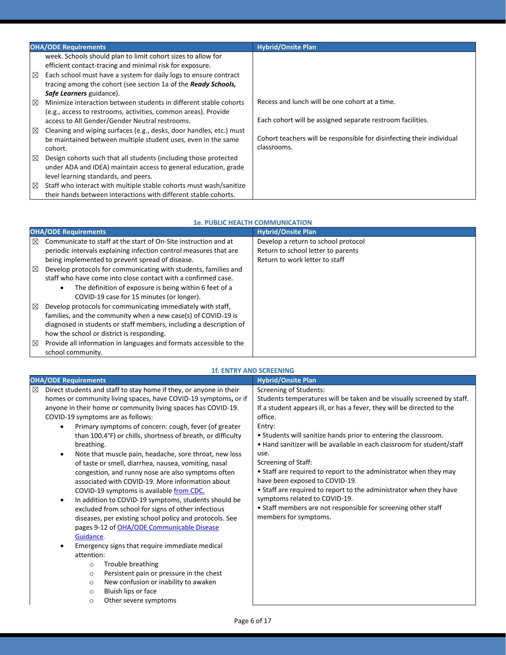|             | <b>OHA/ODE Requirements</b>                                                                                                                                                 | <b>Hybrid/Onsite Plan</b>                                                            |
|-------------|-----------------------------------------------------------------------------------------------------------------------------------------------------------------------------|--------------------------------------------------------------------------------------|
|             | week. Schools should plan to limit cohort sizes to allow for<br>efficient contact-tracing and minimal risk for exposure.                                                    |                                                                                      |
| ⊠           | Each school must have a system for daily logs to ensure contract                                                                                                            |                                                                                      |
|             | tracing among the cohort (see section 1a of the <b>Ready Schools</b> ,<br>Safe Learners guidance).                                                                          |                                                                                      |
| $\boxtimes$ | Minimize interaction between students in different stable cohorts<br>(e.g., access to restrooms, activities, common areas). Provide                                         | Recess and lunch will be one cohort at a time.                                       |
|             | access to All Gender/Gender Neutral restrooms.                                                                                                                              | Each cohort will be assigned separate restroom facilities.                           |
| ⊠           | Cleaning and wiping surfaces (e.g., desks, door handles, etc.) must<br>be maintained between multiple student uses, even in the same<br>cohort.                             | Cohort teachers will be responsible for disinfecting their individual<br>classrooms. |
| ⊠           | Design cohorts such that all students (including those protected<br>under ADA and IDEA) maintain access to general education, grade<br>level learning standards, and peers. |                                                                                      |
| ⊠           | Staff who interact with multiple stable cohorts must wash/sanitize<br>their hands between interactions with different stable cohorts.                                       |                                                                                      |

#### **1e. PUBLIC HEALTH COMMUNICATION**

|   | <b>OHA/ODE Requirements</b>                                         | <b>Hybrid/Onsite Plan</b>           |
|---|---------------------------------------------------------------------|-------------------------------------|
| ⊠ | Communicate to staff at the start of On-Site instruction and at     | Develop a return to school protocol |
|   | periodic intervals explaining infection control measures that are   | Return to school letter to parents  |
|   | being implemented to prevent spread of disease.                     | Return to work letter to staff      |
| ⊠ | Develop protocols for communicating with students, families and     |                                     |
|   | staff who have come into close contact with a confirmed case.       |                                     |
|   | The definition of exposure is being within 6 feet of a<br>$\bullet$ |                                     |
|   | COVID-19 case for 15 minutes (or longer).                           |                                     |
| ⊠ | Develop protocols for communicating immediately with staff,         |                                     |
|   | families, and the community when a new case(s) of COVID-19 is       |                                     |
|   | diagnosed in students or staff members, including a description of  |                                     |
|   | how the school or district is responding.                           |                                     |
| ⊠ | Provide all information in languages and formats accessible to the  |                                     |
|   | school community.                                                   |                                     |

|                                                                                                                                                                                                                                                                                                                                                                                                                                                                                                                                                                                                                                                                                                                                                                                                                                                                                                                                                                                                                                                                                                                                                                                                                           | <b>1f. ENTRY AND SCREENING</b>                                                                                                                                                                                                                                                                                                                                                                                                                                                                                                                                                                                                                                                             |
|---------------------------------------------------------------------------------------------------------------------------------------------------------------------------------------------------------------------------------------------------------------------------------------------------------------------------------------------------------------------------------------------------------------------------------------------------------------------------------------------------------------------------------------------------------------------------------------------------------------------------------------------------------------------------------------------------------------------------------------------------------------------------------------------------------------------------------------------------------------------------------------------------------------------------------------------------------------------------------------------------------------------------------------------------------------------------------------------------------------------------------------------------------------------------------------------------------------------------|--------------------------------------------------------------------------------------------------------------------------------------------------------------------------------------------------------------------------------------------------------------------------------------------------------------------------------------------------------------------------------------------------------------------------------------------------------------------------------------------------------------------------------------------------------------------------------------------------------------------------------------------------------------------------------------------|
| <b>OHA/ODE Requirements</b>                                                                                                                                                                                                                                                                                                                                                                                                                                                                                                                                                                                                                                                                                                                                                                                                                                                                                                                                                                                                                                                                                                                                                                                               | <b>Hybrid/Onsite Plan</b>                                                                                                                                                                                                                                                                                                                                                                                                                                                                                                                                                                                                                                                                  |
| Direct students and staff to stay home if they, or anyone in their<br>⊠<br>homes or community living spaces, have COVID-19 symptoms, or if<br>anyone in their home or community living spaces has COVID-19.<br>COVID-19 symptoms are as follows:<br>Primary symptoms of concern: cough, fever (of greater<br>than 100.4°F) or chills, shortness of breath, or difficulty<br>breathing.<br>Note that muscle pain, headache, sore throat, new loss<br>$\bullet$<br>of taste or smell, diarrhea, nausea, vomiting, nasal<br>congestion, and runny nose are also symptoms often<br>associated with COVID-19. More information about<br>COVID-19 symptoms is available from CDC.<br>In addition to COVID-19 symptoms, students should be<br>$\bullet$<br>excluded from school for signs of other infectious<br>diseases, per existing school policy and protocols. See<br>pages 9-12 of OHA/ODE Communicable Disease<br>Guidance.<br>Emergency signs that require immediate medical<br>$\bullet$<br>attention:<br>Trouble breathing<br>$\circ$<br>Persistent pain or pressure in the chest<br>$\circ$<br>New confusion or inability to awaken<br>$\circ$<br>Bluish lips or face<br>$\circ$<br>Other severe symptoms<br>$\circ$ | <b>Screening of Students:</b><br>Students temperatures will be taken and be visually screened by staff.<br>If a student appears ill, or has a fever, they will be directed to the<br>office.<br>Entry:<br>• Students will sanitize hands prior to entering the classroom.<br>. Hand sanitizer will be available in each classroom for student/staff<br>use.<br>Screening of Staff:<br>• Staff are required to report to the administrator when they may<br>have been exposed to COVID-19.<br>• Staff are required to report to the administrator when they have<br>symptoms related to COVID-19.<br>• Staff members are not responsible for screening other staff<br>members for symptoms. |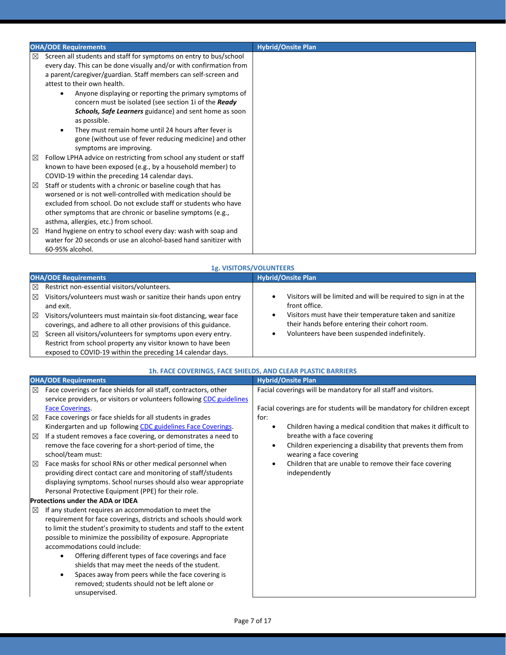|   | <b>OHA/ODE Requirements</b>                                                                                                                                                                                                                                                                                                                                                                                                               | <b>Hybrid/Onsite Plan</b> |
|---|-------------------------------------------------------------------------------------------------------------------------------------------------------------------------------------------------------------------------------------------------------------------------------------------------------------------------------------------------------------------------------------------------------------------------------------------|---------------------------|
| ⊠ | Screen all students and staff for symptoms on entry to bus/school<br>every day. This can be done visually and/or with confirmation from<br>a parent/caregiver/guardian. Staff members can self-screen and<br>attest to their own health.<br>Anyone displaying or reporting the primary symptoms of<br>$\bullet$<br>concern must be isolated (see section 1i of the Ready<br><b>Schools, Safe Learners</b> guidance) and sent home as soon |                           |
|   | as possible.<br>They must remain home until 24 hours after fever is<br>$\bullet$<br>gone (without use of fever reducing medicine) and other<br>symptoms are improving.                                                                                                                                                                                                                                                                    |                           |
| ⊠ | Follow LPHA advice on restricting from school any student or staff<br>known to have been exposed (e.g., by a household member) to<br>COVID-19 within the preceding 14 calendar days.                                                                                                                                                                                                                                                      |                           |
| ⊠ | Staff or students with a chronic or baseline cough that has<br>worsened or is not well-controlled with medication should be<br>excluded from school. Do not exclude staff or students who have<br>other symptoms that are chronic or baseline symptoms (e.g.,<br>asthma, allergies, etc.) from school.                                                                                                                                    |                           |
| ⊠ | Hand hygiene on entry to school every day: wash with soap and<br>water for 20 seconds or use an alcohol-based hand sanitizer with<br>60-95% alcohol.                                                                                                                                                                                                                                                                                      |                           |

| 1g. VISITORS/VOLUNTEERS                                                                                                                                                                                                                                                                                                                                                                                                                                                                                              |                                                                                                                                                                                                                                               |  |
|----------------------------------------------------------------------------------------------------------------------------------------------------------------------------------------------------------------------------------------------------------------------------------------------------------------------------------------------------------------------------------------------------------------------------------------------------------------------------------------------------------------------|-----------------------------------------------------------------------------------------------------------------------------------------------------------------------------------------------------------------------------------------------|--|
| <b>OHA/ODE Requirements</b>                                                                                                                                                                                                                                                                                                                                                                                                                                                                                          | <b>Hybrid/Onsite Plan</b>                                                                                                                                                                                                                     |  |
| Restrict non-essential visitors/volunteers.<br>⊠<br>Visitors/volunteers must wash or sanitize their hands upon entry<br>$\boxtimes$<br>and exit.<br>$\boxtimes$<br>Visitors/volunteers must maintain six-foot distancing, wear face<br>coverings, and adhere to all other provisions of this guidance.<br>Screen all visitors/volunteers for symptoms upon every entry.<br>$\boxtimes$<br>Restrict from school property any visitor known to have been<br>exposed to COVID-19 within the preceding 14 calendar days. | Visitors will be limited and will be required to sign in at the<br>front office.<br>Visitors must have their temperature taken and sanitize<br>their hands before entering their cohort room.<br>Volunteers have been suspended indefinitely. |  |

| 1h. FACE COVERINGS, FACE SHIELDS, AND CLEAR PLASTIC BARRIERS                                                                                                                                                                                                                                                                                                                                                                                                                                                                                                                                                                                                                                                             |                                                                                                                                                                                                                                                                    |
|--------------------------------------------------------------------------------------------------------------------------------------------------------------------------------------------------------------------------------------------------------------------------------------------------------------------------------------------------------------------------------------------------------------------------------------------------------------------------------------------------------------------------------------------------------------------------------------------------------------------------------------------------------------------------------------------------------------------------|--------------------------------------------------------------------------------------------------------------------------------------------------------------------------------------------------------------------------------------------------------------------|
| <b>OHA/ODE Requirements</b>                                                                                                                                                                                                                                                                                                                                                                                                                                                                                                                                                                                                                                                                                              | <b>Hybrid/Onsite Plan</b>                                                                                                                                                                                                                                          |
| Face coverings or face shields for all staff, contractors, other<br>⊠<br>service providers, or visitors or volunteers following CDC guidelines<br><b>Face Coverings.</b><br>Face coverings or face shields for all students in grades<br>⊠                                                                                                                                                                                                                                                                                                                                                                                                                                                                               | Facial coverings will be mandatory for all staff and visitors.<br>Facial coverings are for students will be mandatory for children except<br>for:                                                                                                                  |
| Kindergarten and up following CDC guidelines Face Coverings.<br>If a student removes a face covering, or demonstrates a need to<br>⊠<br>remove the face covering for a short-period of time, the<br>school/team must:<br>Face masks for school RNs or other medical personnel when<br>$\boxtimes$<br>providing direct contact care and monitoring of staff/students                                                                                                                                                                                                                                                                                                                                                      | Children having a medical condition that makes it difficult to<br>breathe with a face covering<br>Children experiencing a disability that prevents them from<br>wearing a face covering<br>Children that are unable to remove their face covering<br>independently |
| displaying symptoms. School nurses should also wear appropriate<br>Personal Protective Equipment (PPE) for their role.<br><b>Protections under the ADA or IDEA</b><br>If any student requires an accommodation to meet the<br>⊠<br>requirement for face coverings, districts and schools should work<br>to limit the student's proximity to students and staff to the extent<br>possible to minimize the possibility of exposure. Appropriate<br>accommodations could include:<br>Offering different types of face coverings and face<br>$\bullet$<br>shields that may meet the needs of the student.<br>Spaces away from peers while the face covering is<br>$\bullet$<br>removed; students should not be left alone or |                                                                                                                                                                                                                                                                    |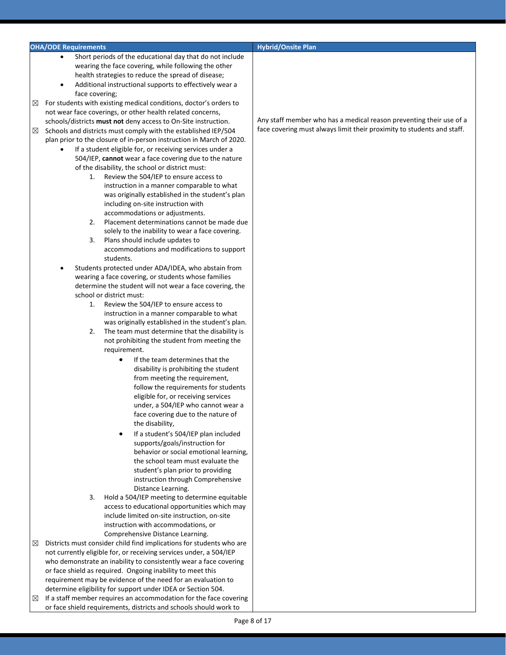| <b>OHA/ODE Requirements</b>                                               | <b>Hybrid/Onsite Plan</b>                                              |
|---------------------------------------------------------------------------|------------------------------------------------------------------------|
| Short periods of the educational day that do not include                  |                                                                        |
| wearing the face covering, while following the other                      |                                                                        |
|                                                                           |                                                                        |
| health strategies to reduce the spread of disease;                        |                                                                        |
| Additional instructional supports to effectively wear a                   |                                                                        |
| face covering;                                                            |                                                                        |
| For students with existing medical conditions, doctor's orders to<br>⊠    |                                                                        |
| not wear face coverings, or other health related concerns,                |                                                                        |
| schools/districts must not deny access to On-Site instruction.            | Any staff member who has a medical reason preventing their use of a    |
| Schools and districts must comply with the established IEP/504<br>⊠       | face covering must always limit their proximity to students and staff. |
| plan prior to the closure of in-person instruction in March of 2020.      |                                                                        |
| If a student eligible for, or receiving services under a                  |                                                                        |
| 504/IEP, cannot wear a face covering due to the nature                    |                                                                        |
| of the disability, the school or district must:                           |                                                                        |
| Review the 504/IEP to ensure access to<br>1.                              |                                                                        |
| instruction in a manner comparable to what                                |                                                                        |
| was originally established in the student's plan                          |                                                                        |
| including on-site instruction with                                        |                                                                        |
| accommodations or adjustments.                                            |                                                                        |
| Placement determinations cannot be made due<br>2.                         |                                                                        |
| solely to the inability to wear a face covering.                          |                                                                        |
|                                                                           |                                                                        |
| 3.<br>Plans should include updates to                                     |                                                                        |
| accommodations and modifications to support                               |                                                                        |
| students.                                                                 |                                                                        |
| Students protected under ADA/IDEA, who abstain from                       |                                                                        |
| wearing a face covering, or students whose families                       |                                                                        |
| determine the student will not wear a face covering, the                  |                                                                        |
| school or district must:                                                  |                                                                        |
| Review the 504/IEP to ensure access to<br>1.                              |                                                                        |
| instruction in a manner comparable to what                                |                                                                        |
| was originally established in the student's plan.                         |                                                                        |
| The team must determine that the disability is<br>2.                      |                                                                        |
| not prohibiting the student from meeting the                              |                                                                        |
| requirement.                                                              |                                                                        |
| If the team determines that the<br>$\bullet$                              |                                                                        |
| disability is prohibiting the student                                     |                                                                        |
| from meeting the requirement,                                             |                                                                        |
| follow the requirements for students                                      |                                                                        |
| eligible for, or receiving services                                       |                                                                        |
| under, a 504/IEP who cannot wear a                                        |                                                                        |
| face covering due to the nature of                                        |                                                                        |
| the disability,                                                           |                                                                        |
| If a student's 504/IEP plan included<br>$\bullet$                         |                                                                        |
| supports/goals/instruction for                                            |                                                                        |
| behavior or social emotional learning,                                    |                                                                        |
| the school team must evaluate the                                         |                                                                        |
| student's plan prior to providing                                         |                                                                        |
| instruction through Comprehensive                                         |                                                                        |
|                                                                           |                                                                        |
| Distance Learning.<br>3.                                                  |                                                                        |
| Hold a 504/IEP meeting to determine equitable                             |                                                                        |
| access to educational opportunities which may                             |                                                                        |
| include limited on-site instruction, on-site                              |                                                                        |
| instruction with accommodations, or                                       |                                                                        |
| Comprehensive Distance Learning.                                          |                                                                        |
| Districts must consider child find implications for students who are<br>⊠ |                                                                        |
| not currently eligible for, or receiving services under, a 504/IEP        |                                                                        |
| who demonstrate an inability to consistently wear a face covering         |                                                                        |
| or face shield as required. Ongoing inability to meet this                |                                                                        |
| requirement may be evidence of the need for an evaluation to              |                                                                        |
| determine eligibility for support under IDEA or Section 504.              |                                                                        |
| If a staff member requires an accommodation for the face covering<br>⊠    |                                                                        |
| or face shield requirements, districts and schools should work to         |                                                                        |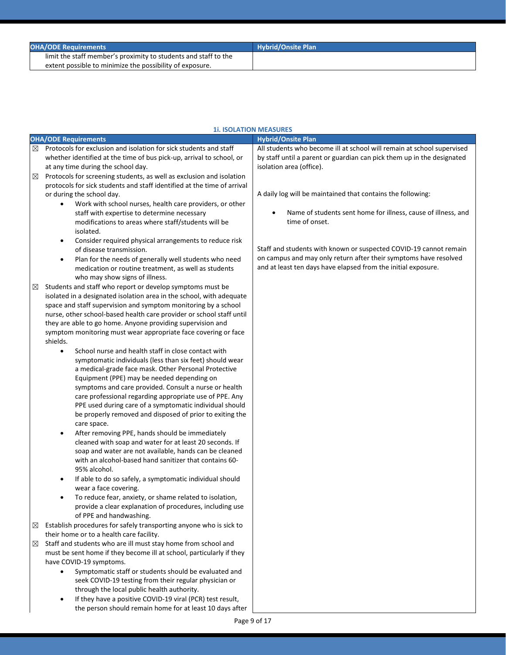| <b>OHA/ODE Requirements</b>                                     | <b>Hybrid/Onsite Plan</b> |
|-----------------------------------------------------------------|---------------------------|
| limit the staff member's proximity to students and staff to the |                           |
| extent possible to minimize the possibility of exposure.        |                           |

|   |                                                                                                                                                                                                                                                                                                                                                                                                                                                                                                                                                                                                                                                                                                                                                                                                                                                                                                                                                                                                                                                                                                                                                                                                                                                                                                                                                                                                    | <b>1i. ISOLATION MEASURES</b>                                                                                                                                                                          |
|---|----------------------------------------------------------------------------------------------------------------------------------------------------------------------------------------------------------------------------------------------------------------------------------------------------------------------------------------------------------------------------------------------------------------------------------------------------------------------------------------------------------------------------------------------------------------------------------------------------------------------------------------------------------------------------------------------------------------------------------------------------------------------------------------------------------------------------------------------------------------------------------------------------------------------------------------------------------------------------------------------------------------------------------------------------------------------------------------------------------------------------------------------------------------------------------------------------------------------------------------------------------------------------------------------------------------------------------------------------------------------------------------------------|--------------------------------------------------------------------------------------------------------------------------------------------------------------------------------------------------------|
|   | <b>OHA/ODE Requirements</b>                                                                                                                                                                                                                                                                                                                                                                                                                                                                                                                                                                                                                                                                                                                                                                                                                                                                                                                                                                                                                                                                                                                                                                                                                                                                                                                                                                        | <b>Hybrid/Onsite Plan</b>                                                                                                                                                                              |
| ⊠ | Protocols for exclusion and isolation for sick students and staff<br>whether identified at the time of bus pick-up, arrival to school, or<br>at any time during the school day.                                                                                                                                                                                                                                                                                                                                                                                                                                                                                                                                                                                                                                                                                                                                                                                                                                                                                                                                                                                                                                                                                                                                                                                                                    | All students who become ill at school will remain at school supervised<br>by staff until a parent or guardian can pick them up in the designated<br>isolation area (office).                           |
| ⊠ | Protocols for screening students, as well as exclusion and isolation<br>protocols for sick students and staff identified at the time of arrival<br>or during the school day.<br>Work with school nurses, health care providers, or other<br>staff with expertise to determine necessary<br>modifications to areas where staff/students will be                                                                                                                                                                                                                                                                                                                                                                                                                                                                                                                                                                                                                                                                                                                                                                                                                                                                                                                                                                                                                                                     | A daily log will be maintained that contains the following:<br>Name of students sent home for illness, cause of illness, and<br>time of onset.                                                         |
|   | isolated.<br>Consider required physical arrangements to reduce risk<br>$\bullet$<br>of disease transmission.<br>Plan for the needs of generally well students who need<br>$\bullet$<br>medication or routine treatment, as well as students<br>who may show signs of illness.                                                                                                                                                                                                                                                                                                                                                                                                                                                                                                                                                                                                                                                                                                                                                                                                                                                                                                                                                                                                                                                                                                                      | Staff and students with known or suspected COVID-19 cannot remain<br>on campus and may only return after their symptoms have resolved<br>and at least ten days have elapsed from the initial exposure. |
| ⊠ | Students and staff who report or develop symptoms must be<br>isolated in a designated isolation area in the school, with adequate<br>space and staff supervision and symptom monitoring by a school<br>nurse, other school-based health care provider or school staff until<br>they are able to go home. Anyone providing supervision and<br>symptom monitoring must wear appropriate face covering or face<br>shields.<br>School nurse and health staff in close contact with<br>$\bullet$<br>symptomatic individuals (less than six feet) should wear<br>a medical-grade face mask. Other Personal Protective<br>Equipment (PPE) may be needed depending on<br>symptoms and care provided. Consult a nurse or health<br>care professional regarding appropriate use of PPE. Any<br>PPE used during care of a symptomatic individual should<br>be properly removed and disposed of prior to exiting the<br>care space.<br>After removing PPE, hands should be immediately<br>$\bullet$<br>cleaned with soap and water for at least 20 seconds. If<br>soap and water are not available, hands can be cleaned<br>with an alcohol-based hand sanitizer that contains 60-<br>95% alcohol.<br>If able to do so safely, a symptomatic individual should<br>wear a face covering.<br>To reduce fear, anxiety, or shame related to isolation,<br>provide a clear explanation of procedures, including use |                                                                                                                                                                                                        |
| ⊠ | of PPE and handwashing.<br>Establish procedures for safely transporting anyone who is sick to<br>their home or to a health care facility.                                                                                                                                                                                                                                                                                                                                                                                                                                                                                                                                                                                                                                                                                                                                                                                                                                                                                                                                                                                                                                                                                                                                                                                                                                                          |                                                                                                                                                                                                        |
| ⊠ | Staff and students who are ill must stay home from school and<br>must be sent home if they become ill at school, particularly if they<br>have COVID-19 symptoms.<br>Symptomatic staff or students should be evaluated and<br>seek COVID-19 testing from their regular physician or<br>through the local public health authority.<br>If they have a positive COVID-19 viral (PCR) test result,<br>the person should remain home for at least 10 days after                                                                                                                                                                                                                                                                                                                                                                                                                                                                                                                                                                                                                                                                                                                                                                                                                                                                                                                                          |                                                                                                                                                                                                        |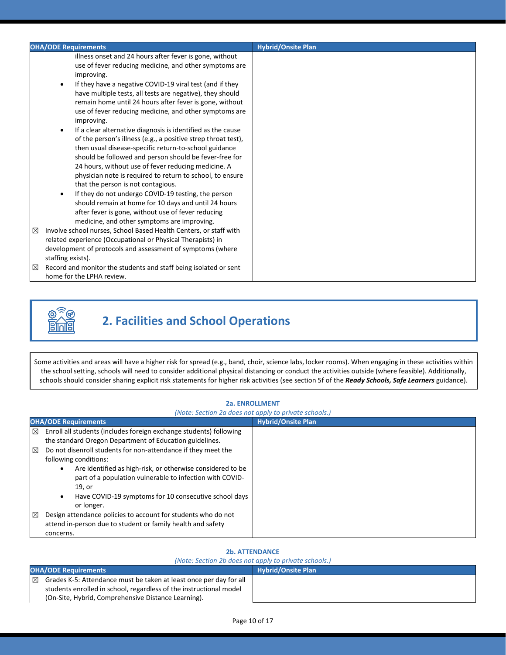|        | <b>OHA/ODE Requirements</b>                                                                                                                                                                                                                                                                                                                                                                                                                                                                                                                                                                                                                                                                                                                                                                                                                                                                                                                                                                                                  | <b>Hybrid/Onsite Plan</b> |
|--------|------------------------------------------------------------------------------------------------------------------------------------------------------------------------------------------------------------------------------------------------------------------------------------------------------------------------------------------------------------------------------------------------------------------------------------------------------------------------------------------------------------------------------------------------------------------------------------------------------------------------------------------------------------------------------------------------------------------------------------------------------------------------------------------------------------------------------------------------------------------------------------------------------------------------------------------------------------------------------------------------------------------------------|---------------------------|
|        | illness onset and 24 hours after fever is gone, without<br>use of fever reducing medicine, and other symptoms are<br>improving.<br>If they have a negative COVID-19 viral test (and if they<br>have multiple tests, all tests are negative), they should<br>remain home until 24 hours after fever is gone, without<br>use of fever reducing medicine, and other symptoms are<br>improving.<br>If a clear alternative diagnosis is identified as the cause<br>of the person's illness (e.g., a positive strep throat test),<br>then usual disease-specific return-to-school guidance<br>should be followed and person should be fever-free for<br>24 hours, without use of fever reducing medicine. A<br>physician note is required to return to school, to ensure<br>that the person is not contagious.<br>If they do not undergo COVID-19 testing, the person<br>should remain at home for 10 days and until 24 hours<br>after fever is gone, without use of fever reducing<br>medicine, and other symptoms are improving. |                           |
| ⊠<br>⊠ | Involve school nurses, School Based Health Centers, or staff with<br>related experience (Occupational or Physical Therapists) in<br>development of protocols and assessment of symptoms (where<br>staffing exists).<br>Record and monitor the students and staff being isolated or sent                                                                                                                                                                                                                                                                                                                                                                                                                                                                                                                                                                                                                                                                                                                                      |                           |
|        | home for the LPHA review.                                                                                                                                                                                                                                                                                                                                                                                                                                                                                                                                                                                                                                                                                                                                                                                                                                                                                                                                                                                                    |                           |



# **2. Facilities and School Operations**

Some activities and areas will have a higher risk for spread (e.g., band, choir, science labs, locker rooms). When engaging in these activities within the school setting, schools will need to consider additional physical distancing or conduct the activities outside (where feasible). Additionally, schools should consider sharing explicit risk statements for higher risk activities (see section 5f of the *Ready Schools, Safe Learners* guidance).

#### **2a. ENROLLMENT**

#### *(Note: Section 2a does not apply to private schools.)*

|             | <b>OHA/ODE Requirements</b>                                                                                                                   | <b>Hybrid/Onsite Plan</b> |
|-------------|-----------------------------------------------------------------------------------------------------------------------------------------------|---------------------------|
| ⊠           | Enroll all students (includes foreign exchange students) following                                                                            |                           |
|             | the standard Oregon Department of Education guidelines.                                                                                       |                           |
| $\boxtimes$ | Do not disenroll students for non-attendance if they meet the                                                                                 |                           |
|             | following conditions:                                                                                                                         |                           |
|             | Are identified as high-risk, or otherwise considered to be<br>$\bullet$<br>part of a population vulnerable to infection with COVID-<br>19, or |                           |
|             | Have COVID-19 symptoms for 10 consecutive school days<br>$\bullet$<br>or longer.                                                              |                           |
| ⊠           | Design attendance policies to account for students who do not<br>attend in-person due to student or family health and safety<br>concerns.     |                           |

#### **2b. ATTENDANCE**

|                             | (Note: Section 2b does not apply to private schools.)              |                           |  |
|-----------------------------|--------------------------------------------------------------------|---------------------------|--|
| <b>OHA/ODE Requirements</b> |                                                                    | <b>Hybrid/Onsite Plan</b> |  |
| $\boxtimes$                 | Grades K-5: Attendance must be taken at least once per day for all |                           |  |
|                             | students enrolled in school, regardless of the instructional model |                           |  |
|                             | (On-Site, Hybrid, Comprehensive Distance Learning).                |                           |  |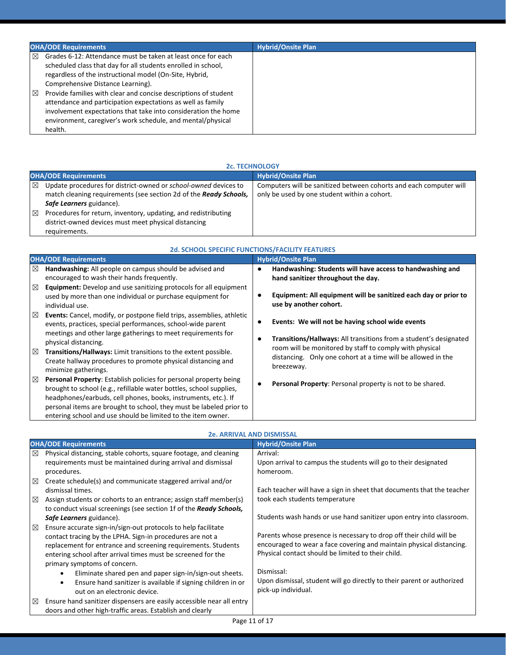|             | <b>OHA/ODE Requirements</b>                                                                                                                                                                                                                                                | <b>Hybrid/Onsite Plan</b> |
|-------------|----------------------------------------------------------------------------------------------------------------------------------------------------------------------------------------------------------------------------------------------------------------------------|---------------------------|
| ⊠           | Grades 6-12: Attendance must be taken at least once for each<br>scheduled class that day for all students enrolled in school,<br>regardless of the instructional model (On-Site, Hybrid,<br>Comprehensive Distance Learning).                                              |                           |
| $\boxtimes$ | Provide families with clear and concise descriptions of student<br>attendance and participation expectations as well as family<br>involvement expectations that take into consideration the home<br>environment, caregiver's work schedule, and mental/physical<br>health. |                           |

|   | <b>2c. TECHNOLOGY</b>                                             |                                                                    |  |
|---|-------------------------------------------------------------------|--------------------------------------------------------------------|--|
|   | <b>OHA/ODE Requirements</b>                                       | <b>Hybrid/Onsite Plan</b>                                          |  |
| ⊠ | Update procedures for district-owned or school-owned devices to   | Computers will be sanitized between cohorts and each computer will |  |
|   | match cleaning requirements (see section 2d of the Ready Schools, | only be used by one student within a cohort.                       |  |
|   | Safe Learners guidance).                                          |                                                                    |  |
| ⊠ | Procedures for return, inventory, updating, and redistributing    |                                                                    |  |
|   | district-owned devices must meet physical distancing              |                                                                    |  |
|   | requirements.                                                     |                                                                    |  |

| <b>2d. SCHOOL SPECIFIC FUNCTIONS/FACILITY FEATURES</b>                                                                                                                                                                                                                                                                                                        |                                                                                                                                       |
|---------------------------------------------------------------------------------------------------------------------------------------------------------------------------------------------------------------------------------------------------------------------------------------------------------------------------------------------------------------|---------------------------------------------------------------------------------------------------------------------------------------|
| <b>OHA/ODE Requirements</b>                                                                                                                                                                                                                                                                                                                                   | <b>Hybrid/Onsite Plan</b>                                                                                                             |
| Handwashing: All people on campus should be advised and<br>⊠<br>encouraged to wash their hands frequently.                                                                                                                                                                                                                                                    | Handwashing: Students will have access to handwashing and<br>hand sanitizer throughout the day.                                       |
| ⊠<br>Equipment: Develop and use sanitizing protocols for all equipment<br>used by more than one individual or purchase equipment for<br>individual use.                                                                                                                                                                                                       | Equipment: All equipment will be sanitized each day or prior to<br>use by another cohort.                                             |
| <b>Events:</b> Cancel, modify, or postpone field trips, assemblies, athletic<br>⊠<br>events, practices, special performances, school-wide parent<br>meetings and other large gatherings to meet requirements for                                                                                                                                              | Events: We will not be having school wide events<br>Transitions/Hallways: All transitions from a student's designated                 |
| physical distancing.<br>Transitions/Hallways: Limit transitions to the extent possible.<br>⊠<br>Create hallway procedures to promote physical distancing and<br>minimize gatherings.                                                                                                                                                                          | room will be monitored by staff to comply with physical<br>distancing. Only one cohort at a time will be allowed in the<br>breezeway. |
| <b>Personal Property:</b> Establish policies for personal property being<br>⊠<br>brought to school (e.g., refillable water bottles, school supplies,<br>headphones/earbuds, cell phones, books, instruments, etc.). If<br>personal items are brought to school, they must be labeled prior to<br>entering school and use should be limited to the item owner. | Personal Property: Personal property is not to be shared.                                                                             |

|   |                                                                           | <b>2e. ARRIVAL AND DISMISSAL</b>                                       |
|---|---------------------------------------------------------------------------|------------------------------------------------------------------------|
|   | <b>OHA/ODE Requirements</b>                                               | <b>Hybrid/Onsite Plan</b>                                              |
| ⊠ | Physical distancing, stable cohorts, square footage, and cleaning         | Arrival:                                                               |
|   | requirements must be maintained during arrival and dismissal              | Upon arrival to campus the students will go to their designated        |
|   | procedures.                                                               | homeroom.                                                              |
| ⊠ | Create schedule(s) and communicate staggered arrival and/or               |                                                                        |
|   | dismissal times.                                                          | Each teacher will have a sign in sheet that documents that the teacher |
| ⊠ | Assign students or cohorts to an entrance; assign staff member(s)         | took each students temperature                                         |
|   | to conduct visual screenings (see section 1f of the Ready Schools,        |                                                                        |
|   | Safe Learners guidance).                                                  | Students wash hands or use hand sanitizer upon entry into classroom.   |
| ⊠ | Ensure accurate sign-in/sign-out protocols to help facilitate             |                                                                        |
|   | contact tracing by the LPHA. Sign-in procedures are not a                 | Parents whose presence is necessary to drop off their child will be    |
|   | replacement for entrance and screening requirements. Students             | encouraged to wear a face covering and maintain physical distancing.   |
|   | entering school after arrival times must be screened for the              | Physical contact should be limited to their child.                     |
|   | primary symptoms of concern.                                              |                                                                        |
|   | Eliminate shared pen and paper sign-in/sign-out sheets.                   | Dismissal:                                                             |
|   | Ensure hand sanitizer is available if signing children in or<br>$\bullet$ | Upon dismissal, student will go directly to their parent or authorized |
|   | out on an electronic device.                                              | pick-up individual.                                                    |
| ⊠ | Ensure hand sanitizer dispensers are easily accessible near all entry     |                                                                        |
|   | doors and other high-traffic areas. Establish and clearly                 |                                                                        |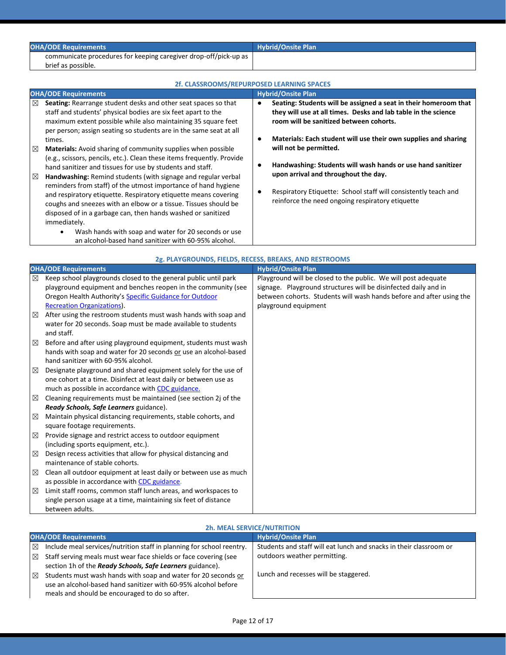| <b>OHA/ODE Requirements</b>                                      | <b>Hybrid/Onsite Plan</b> |
|------------------------------------------------------------------|---------------------------|
| communicate procedures for keeping caregiver drop-off/pick-up as |                           |
| brief as possible.                                               |                           |

| 2f. CLASSROOMS/REPURPOSED LEARNING SPACES                                                                                                                                                                                                                                                                                                                                                                                                                                                                                                                                                                                                                                                     |                                                                                                                                                                                                                                                      |  |
|-----------------------------------------------------------------------------------------------------------------------------------------------------------------------------------------------------------------------------------------------------------------------------------------------------------------------------------------------------------------------------------------------------------------------------------------------------------------------------------------------------------------------------------------------------------------------------------------------------------------------------------------------------------------------------------------------|------------------------------------------------------------------------------------------------------------------------------------------------------------------------------------------------------------------------------------------------------|--|
| <b>OHA/ODE Requirements</b>                                                                                                                                                                                                                                                                                                                                                                                                                                                                                                                                                                                                                                                                   | <b>Hybrid/Onsite Plan</b>                                                                                                                                                                                                                            |  |
| Seating: Rearrange student desks and other seat spaces so that<br>⊠<br>staff and students' physical bodies are six feet apart to the<br>maximum extent possible while also maintaining 35 square feet<br>per person; assign seating so students are in the same seat at all<br>times.                                                                                                                                                                                                                                                                                                                                                                                                         | Seating: Students will be assigned a seat in their homeroom that<br>they will use at all times. Desks and lab table in the science<br>room will be sanitized between cohorts.<br>Materials: Each student will use their own supplies and sharing     |  |
| <b>Materials:</b> Avoid sharing of community supplies when possible<br>⊠<br>(e.g., scissors, pencils, etc.). Clean these items frequently. Provide<br>hand sanitizer and tissues for use by students and staff.<br>Handwashing: Remind students (with signage and regular verbal<br>⊠<br>reminders from staff) of the utmost importance of hand hygiene<br>and respiratory etiquette. Respiratory etiquette means covering<br>coughs and sneezes with an elbow or a tissue. Tissues should be<br>disposed of in a garbage can, then hands washed or sanitized<br>immediately.<br>Wash hands with soap and water for 20 seconds or use<br>an alcohol-based hand sanitizer with 60-95% alcohol. | will not be permitted.<br>Handwashing: Students will wash hands or use hand sanitizer<br>upon arrival and throughout the day.<br>Respiratory Etiquette: School staff will consistently teach and<br>reinforce the need ongoing respiratory etiquette |  |

|             | 2g. PLAYGROUNDS, FIELDS, RECESS, BREAKS, AND RESTROOMS            |                                                                      |  |
|-------------|-------------------------------------------------------------------|----------------------------------------------------------------------|--|
|             | <b>OHA/ODE Requirements</b>                                       | <b>Hybrid/Onsite Plan</b>                                            |  |
| ⊠           | Keep school playgrounds closed to the general public until park   | Playground will be closed to the public. We will post adequate       |  |
|             | playground equipment and benches reopen in the community (see     | signage. Playground structures will be disinfected daily and in      |  |
|             | Oregon Health Authority's Specific Guidance for Outdoor           | between cohorts. Students will wash hands before and after using the |  |
|             | <b>Recreation Organizations).</b>                                 | playground equipment                                                 |  |
| $\boxtimes$ | After using the restroom students must wash hands with soap and   |                                                                      |  |
|             | water for 20 seconds. Soap must be made available to students     |                                                                      |  |
|             | and staff.                                                        |                                                                      |  |
| $\boxtimes$ | Before and after using playground equipment, students must wash   |                                                                      |  |
|             | hands with soap and water for 20 seconds or use an alcohol-based  |                                                                      |  |
|             | hand sanitizer with 60-95% alcohol.                               |                                                                      |  |
| $\boxtimes$ | Designate playground and shared equipment solely for the use of   |                                                                      |  |
|             | one cohort at a time. Disinfect at least daily or between use as  |                                                                      |  |
|             | much as possible in accordance with CDC guidance.                 |                                                                      |  |
| $\boxtimes$ | Cleaning requirements must be maintained (see section 2j of the   |                                                                      |  |
|             | Ready Schools, Safe Learners guidance).                           |                                                                      |  |
| ⊠           | Maintain physical distancing requirements, stable cohorts, and    |                                                                      |  |
|             | square footage requirements.                                      |                                                                      |  |
| ⊠           | Provide signage and restrict access to outdoor equipment          |                                                                      |  |
|             | (including sports equipment, etc.).                               |                                                                      |  |
| ⊠           | Design recess activities that allow for physical distancing and   |                                                                      |  |
|             | maintenance of stable cohorts.                                    |                                                                      |  |
| ⊠           | Clean all outdoor equipment at least daily or between use as much |                                                                      |  |
|             | as possible in accordance with CDC guidance.                      |                                                                      |  |
| ⊠           | Limit staff rooms, common staff lunch areas, and workspaces to    |                                                                      |  |
|             | single person usage at a time, maintaining six feet of distance   |                                                                      |  |
|             | between adults.                                                   |                                                                      |  |

### **2h. MEAL SERVICE/NUTRITION**

|             | <b>OHA/ODE Requirements</b>                                           | <b>Hybrid/Onsite Plan</b>                                          |  |
|-------------|-----------------------------------------------------------------------|--------------------------------------------------------------------|--|
| $\boxtimes$ | Include meal services/nutrition staff in planning for school reentry. | Students and staff will eat lunch and snacks in their classroom or |  |
| $\boxtimes$ | Staff serving meals must wear face shields or face covering (see      | outdoors weather permitting.                                       |  |
|             | section 1h of the Ready Schools, Safe Learners guidance).             |                                                                    |  |
| $\boxtimes$ | Students must wash hands with soap and water for 20 seconds or        | Lunch and recesses will be staggered.                              |  |
|             | use an alcohol-based hand sanitizer with 60-95% alcohol before        |                                                                    |  |
|             | meals and should be encouraged to do so after.                        |                                                                    |  |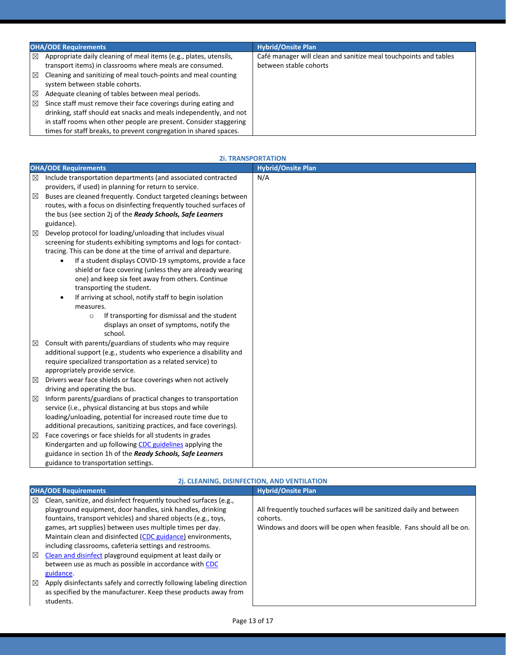|             | <b>OHA/ODE Requirements</b>                                                                                                   | <b>Hybrid/Onsite Plan</b>                                                                  |  |
|-------------|-------------------------------------------------------------------------------------------------------------------------------|--------------------------------------------------------------------------------------------|--|
| ⊠           | Appropriate daily cleaning of meal items (e.g., plates, utensils,<br>transport items) in classrooms where meals are consumed. | Café manager will clean and sanitize meal touchpoints and tables<br>between stable cohorts |  |
| ⊠           | Cleaning and sanitizing of meal touch-points and meal counting<br>system between stable cohorts.                              |                                                                                            |  |
| $\boxtimes$ | Adequate cleaning of tables between meal periods.                                                                             |                                                                                            |  |
| ⊠           | Since staff must remove their face coverings during eating and                                                                |                                                                                            |  |
|             | drinking, staff should eat snacks and meals independently, and not                                                            |                                                                                            |  |
|             | in staff rooms when other people are present. Consider staggering                                                             |                                                                                            |  |
|             | times for staff breaks, to prevent congregation in shared spaces.                                                             |                                                                                            |  |

|   | <b>OHA/ODE Requirements</b>                                          | <b>Hybrid/Onsite Plan</b> |
|---|----------------------------------------------------------------------|---------------------------|
| ⊠ | Include transportation departments (and associated contracted        | N/A                       |
|   | providers, if used) in planning for return to service.               |                           |
| ⊠ | Buses are cleaned frequently. Conduct targeted cleanings between     |                           |
|   | routes, with a focus on disinfecting frequently touched surfaces of  |                           |
|   | the bus (see section 2j of the Ready Schools, Safe Learners          |                           |
|   | guidance).                                                           |                           |
| ⊠ | Develop protocol for loading/unloading that includes visual          |                           |
|   | screening for students exhibiting symptoms and logs for contact-     |                           |
|   | tracing. This can be done at the time of arrival and departure.      |                           |
|   | If a student displays COVID-19 symptoms, provide a face<br>$\bullet$ |                           |
|   | shield or face covering (unless they are already wearing             |                           |
|   | one) and keep six feet away from others. Continue                    |                           |
|   | transporting the student.                                            |                           |
|   | If arriving at school, notify staff to begin isolation<br>$\bullet$  |                           |
|   | measures.                                                            |                           |
|   | If transporting for dismissal and the student<br>$\circ$             |                           |
|   | displays an onset of symptoms, notify the                            |                           |
|   | school.                                                              |                           |
| ⊠ | Consult with parents/guardians of students who may require           |                           |
|   | additional support (e.g., students who experience a disability and   |                           |
|   | require specialized transportation as a related service) to          |                           |
|   | appropriately provide service.                                       |                           |
| ⊠ | Drivers wear face shields or face coverings when not actively        |                           |
|   | driving and operating the bus.                                       |                           |
| ⊠ | Inform parents/guardians of practical changes to transportation      |                           |
|   | service (i.e., physical distancing at bus stops and while            |                           |
|   | loading/unloading, potential for increased route time due to         |                           |
|   | additional precautions, sanitizing practices, and face coverings).   |                           |
| ⊠ | Face coverings or face shields for all students in grades            |                           |
|   | Kindergarten and up following CDC guidelines applying the            |                           |
|   | guidance in section 1h of the Ready Schools, Safe Learners           |                           |
|   | guidance to transportation settings.                                 |                           |

### **2i. TRANSPORTATION**

|             | 2j. CLEANING, DISINFECTION, AND VENTILATION                                                                                                                                                                                                                                                                                                                                                                                                                                                                                                                                                                                                                               |                                                                                                                                                         |  |
|-------------|---------------------------------------------------------------------------------------------------------------------------------------------------------------------------------------------------------------------------------------------------------------------------------------------------------------------------------------------------------------------------------------------------------------------------------------------------------------------------------------------------------------------------------------------------------------------------------------------------------------------------------------------------------------------------|---------------------------------------------------------------------------------------------------------------------------------------------------------|--|
|             | <b>OHA/ODE Requirements</b>                                                                                                                                                                                                                                                                                                                                                                                                                                                                                                                                                                                                                                               | <b>Hybrid/Onsite Plan</b>                                                                                                                               |  |
| ⊠<br>⊠<br>⊠ | Clean, sanitize, and disinfect frequently touched surfaces (e.g.,<br>playground equipment, door handles, sink handles, drinking<br>fountains, transport vehicles) and shared objects (e.g., toys,<br>games, art supplies) between uses multiple times per day.<br>Maintain clean and disinfected (CDC guidance) environments,<br>including classrooms, cafeteria settings and restrooms.<br>Clean and disinfect playground equipment at least daily or<br>between use as much as possible in accordance with CDC<br>guidance.<br>Apply disinfectants safely and correctly following labeling direction<br>as specified by the manufacturer. Keep these products away from | All frequently touched surfaces will be sanitized daily and between<br>cohorts.<br>Windows and doors will be open when feasible. Fans should all be on. |  |
|             | students.                                                                                                                                                                                                                                                                                                                                                                                                                                                                                                                                                                                                                                                                 |                                                                                                                                                         |  |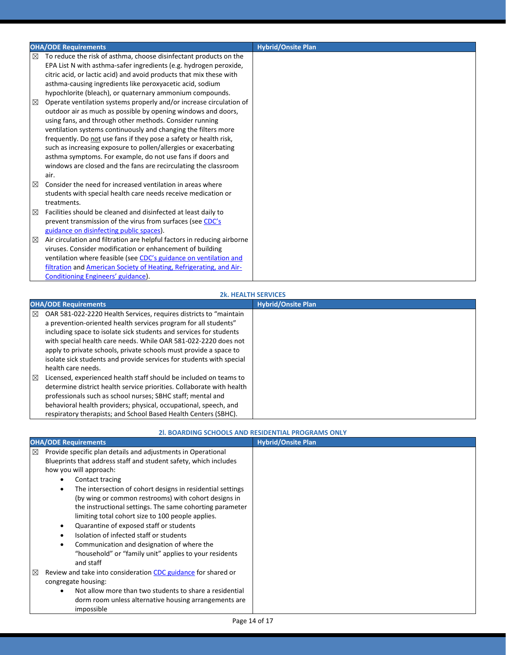|   | <b>OHA/ODE Requirements</b>                                                  | <b>Hybrid/Onsite Plan</b> |
|---|------------------------------------------------------------------------------|---------------------------|
| ⊠ | To reduce the risk of asthma, choose disinfectant products on the            |                           |
|   | EPA List N with asthma-safer ingredients (e.g. hydrogen peroxide,            |                           |
|   | citric acid, or lactic acid) and avoid products that mix these with          |                           |
|   | asthma-causing ingredients like peroxyacetic acid, sodium                    |                           |
|   | hypochlorite (bleach), or quaternary ammonium compounds.                     |                           |
| ⊠ | Operate ventilation systems properly and/or increase circulation of          |                           |
|   | outdoor air as much as possible by opening windows and doors,                |                           |
|   | using fans, and through other methods. Consider running                      |                           |
|   | ventilation systems continuously and changing the filters more               |                           |
|   | frequently. Do not use fans if they pose a safety or health risk,            |                           |
|   | such as increasing exposure to pollen/allergies or exacerbating              |                           |
|   | asthma symptoms. For example, do not use fans if doors and                   |                           |
|   | windows are closed and the fans are recirculating the classroom<br>air.      |                           |
|   | Consider the need for increased ventilation in areas where                   |                           |
| ⊠ |                                                                              |                           |
|   | students with special health care needs receive medication or<br>treatments. |                           |
| ⊠ | Facilities should be cleaned and disinfected at least daily to               |                           |
|   | prevent transmission of the virus from surfaces (see CDC's                   |                           |
|   | guidance on disinfecting public spaces).                                     |                           |
| ⊠ | Air circulation and filtration are helpful factors in reducing airborne      |                           |
|   | viruses. Consider modification or enhancement of building                    |                           |
|   | ventilation where feasible (see CDC's guidance on ventilation and            |                           |
|   | filtration and American Society of Heating, Refrigerating, and Air-          |                           |
|   | Conditioning Engineers' guidance).                                           |                           |

#### **2k. HEALTH SERVICES**

|   | <b>OHA/ODE Requirements</b>                                           | <b>Hybrid/Onsite Plan</b> |
|---|-----------------------------------------------------------------------|---------------------------|
| ⊠ | OAR 581-022-2220 Health Services, requires districts to "maintain     |                           |
|   | a prevention-oriented health services program for all students"       |                           |
|   | including space to isolate sick students and services for students    |                           |
|   | with special health care needs. While OAR 581-022-2220 does not       |                           |
|   | apply to private schools, private schools must provide a space to     |                           |
|   | isolate sick students and provide services for students with special  |                           |
|   | health care needs.                                                    |                           |
| ⊠ | Licensed, experienced health staff should be included on teams to     |                           |
|   | determine district health service priorities. Collaborate with health |                           |
|   | professionals such as school nurses; SBHC staff; mental and           |                           |
|   | behavioral health providers; physical, occupational, speech, and      |                           |
|   | respiratory therapists; and School Based Health Centers (SBHC).       |                           |

#### **2l. BOARDING SCHOOLS AND RESIDENTIAL PROGRAMS ONLY**

| <b>OHA/ODE Requirements</b>                                                                                                                                                                                                                                                                                                                                                                                                                                                                                                                                                                                                 | <b>Hybrid/Onsite Plan</b> |
|-----------------------------------------------------------------------------------------------------------------------------------------------------------------------------------------------------------------------------------------------------------------------------------------------------------------------------------------------------------------------------------------------------------------------------------------------------------------------------------------------------------------------------------------------------------------------------------------------------------------------------|---------------------------|
| $\boxtimes$<br>Provide specific plan details and adjustments in Operational<br>Blueprints that address staff and student safety, which includes<br>how you will approach:<br>Contact tracing<br>$\bullet$<br>The intersection of cohort designs in residential settings<br>$\bullet$<br>(by wing or common restrooms) with cohort designs in<br>the instructional settings. The same cohorting parameter<br>limiting total cohort size to 100 people applies.<br>Quarantine of exposed staff or students<br>$\bullet$<br>Isolation of infected staff or students<br>Communication and designation of where the<br>$\bullet$ |                           |
| "household" or "family unit" applies to your residents<br>and staff<br>$\boxtimes$<br>Review and take into consideration CDC guidance for shared or<br>congregate housing:<br>Not allow more than two students to share a residential<br>$\bullet$<br>dorm room unless alternative housing arrangements are<br>impossible                                                                                                                                                                                                                                                                                                   |                           |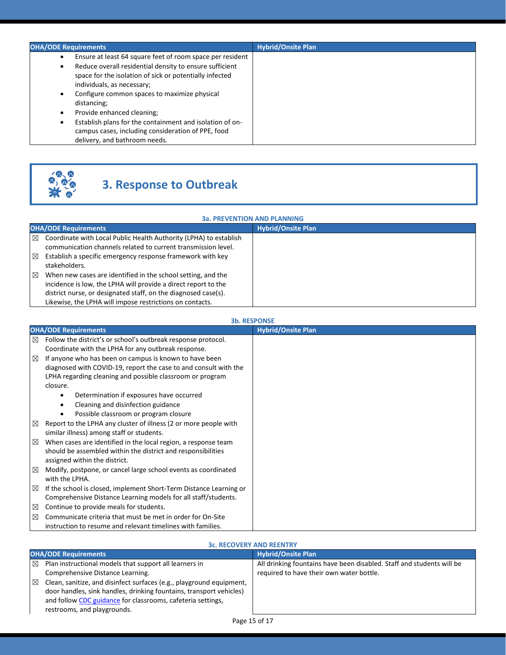| <b>OHA/ODE Requirements</b>                                                                                                                                                                                                                                                                                                                                                                                                                                                                       | <b>Hybrid/Onsite Plan</b> |
|---------------------------------------------------------------------------------------------------------------------------------------------------------------------------------------------------------------------------------------------------------------------------------------------------------------------------------------------------------------------------------------------------------------------------------------------------------------------------------------------------|---------------------------|
| Ensure at least 64 square feet of room space per resident<br>Reduce overall residential density to ensure sufficient<br>٠<br>space for the isolation of sick or potentially infected<br>individuals, as necessary;<br>Configure common spaces to maximize physical<br>٠<br>distancing;<br>Provide enhanced cleaning;<br>$\bullet$<br>Establish plans for the containment and isolation of on-<br>$\bullet$<br>campus cases, including consideration of PPE, food<br>delivery, and bathroom needs. |                           |



# **3. Response to Outbreak**

| <b>3a. PREVENTION AND PLANNING</b>                                                                                                                                                                                                                                                                                                                                                                                                                                                               |                           |  |
|--------------------------------------------------------------------------------------------------------------------------------------------------------------------------------------------------------------------------------------------------------------------------------------------------------------------------------------------------------------------------------------------------------------------------------------------------------------------------------------------------|---------------------------|--|
| <b>OHA/ODE Requirements</b>                                                                                                                                                                                                                                                                                                                                                                                                                                                                      | <b>Hybrid/Onsite Plan</b> |  |
| Coordinate with Local Public Health Authority (LPHA) to establish<br>⊠<br>communication channels related to current transmission level.<br>Establish a specific emergency response framework with key<br>⊠<br>stakeholders.<br>⊠<br>When new cases are identified in the school setting, and the<br>incidence is low, the LPHA will provide a direct report to the<br>district nurse, or designated staff, on the diagnosed case(s).<br>Likewise, the LPHA will impose restrictions on contacts. |                           |  |

**3b. RESPONSE**

|   | <b>3b. RESPONSE</b>                                                |                           |  |
|---|--------------------------------------------------------------------|---------------------------|--|
|   | <b>OHA/ODE Requirements</b>                                        | <b>Hybrid/Onsite Plan</b> |  |
| ⊠ | Follow the district's or school's outbreak response protocol.      |                           |  |
|   | Coordinate with the LPHA for any outbreak response.                |                           |  |
| ⊠ | If anyone who has been on campus is known to have been             |                           |  |
|   | diagnosed with COVID-19, report the case to and consult with the   |                           |  |
|   | LPHA regarding cleaning and possible classroom or program          |                           |  |
|   | closure.                                                           |                           |  |
|   | Determination if exposures have occurred<br>٠                      |                           |  |
|   | Cleaning and disinfection guidance<br>٠                            |                           |  |
|   | Possible classroom or program closure<br>$\bullet$                 |                           |  |
| ⊠ | Report to the LPHA any cluster of illness (2 or more people with   |                           |  |
|   | similar illness) among staff or students.                          |                           |  |
| ⊠ | When cases are identified in the local region, a response team     |                           |  |
|   | should be assembled within the district and responsibilities       |                           |  |
|   | assigned within the district.                                      |                           |  |
| ⊠ | Modify, postpone, or cancel large school events as coordinated     |                           |  |
|   | with the LPHA.                                                     |                           |  |
| ⊠ | If the school is closed, implement Short-Term Distance Learning or |                           |  |
|   | Comprehensive Distance Learning models for all staff/students.     |                           |  |
| ⊠ | Continue to provide meals for students.                            |                           |  |
| ⊠ | Communicate criteria that must be met in order for On-Site         |                           |  |
|   | instruction to resume and relevant timelines with families.        |                           |  |

#### **3c. RECOVERY AND REENTRY**

| <b>OHA/ODE Requirements</b> |                                                                                                                                                                                                                                           | <b>Hybrid/Onsite Plan</b>                                                                                         |
|-----------------------------|-------------------------------------------------------------------------------------------------------------------------------------------------------------------------------------------------------------------------------------------|-------------------------------------------------------------------------------------------------------------------|
| ⊠                           | Plan instructional models that support all learners in<br>Comprehensive Distance Learning.                                                                                                                                                | All drinking fountains have been disabled. Staff and students will be<br>required to have their own water bottle. |
| ⊠                           | Clean, sanitize, and disinfect surfaces (e.g., playground equipment,<br>door handles, sink handles, drinking fountains, transport vehicles)<br>and follow CDC guidance for classrooms, cafeteria settings,<br>restrooms, and playgrounds. |                                                                                                                   |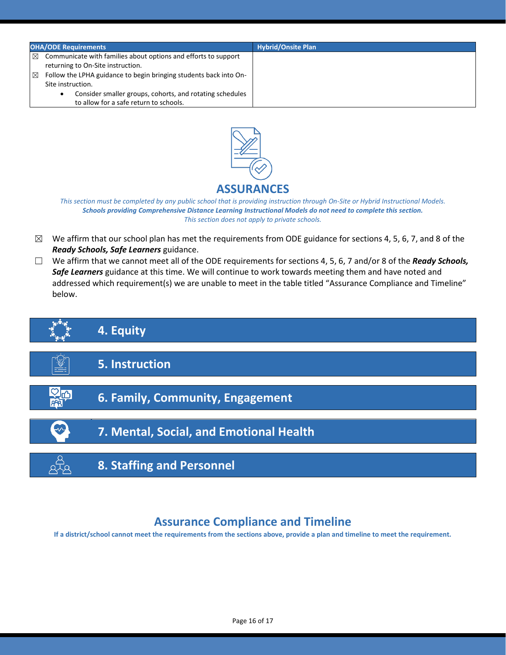| <b>OHA/ODE Requirements</b>                                                                                                                                                                                                          |                                                                                                     | <b>Hybrid/Onsite Plan</b> |
|--------------------------------------------------------------------------------------------------------------------------------------------------------------------------------------------------------------------------------------|-----------------------------------------------------------------------------------------------------|---------------------------|
| $\boxtimes$                                                                                                                                                                                                                          | Communicate with families about options and efforts to support<br>returning to On-Site instruction. |                           |
| Follow the LPHA guidance to begin bringing students back into On-<br>$\overline{\mathbb{X}}$<br>Site instruction.<br>Consider smaller groups, cohorts, and rotating schedules<br>$\bullet$<br>to allow for a safe return to schools. |                                                                                                     |                           |



*This section must be completed by any public school that is providing instruction through On-Site or Hybrid Instructional Models. Schools providing Comprehensive Distance Learning Instructional Models do not need to complete this section. This section does not apply to private schools.*

- $\boxtimes$  We affirm that our school plan has met the requirements from ODE guidance for sections 4, 5, 6, 7, and 8 of the *Ready Schools, Safe Learners* guidance.
- ☐ We affirm that we cannot meet all of the ODE requirements for sections 4, 5, 6, 7 and/or 8 of the *Ready Schools, Safe Learners* guidance at this time. We will continue to work towards meeting them and have noted and addressed which requirement(s) we are unable to meet in the table titled "Assurance Compliance and Timeline" below.



# **Assurance Compliance and Timeline**

**If a district/school cannot meet the requirements from the sections above, provide a plan and timeline to meet the requirement.**